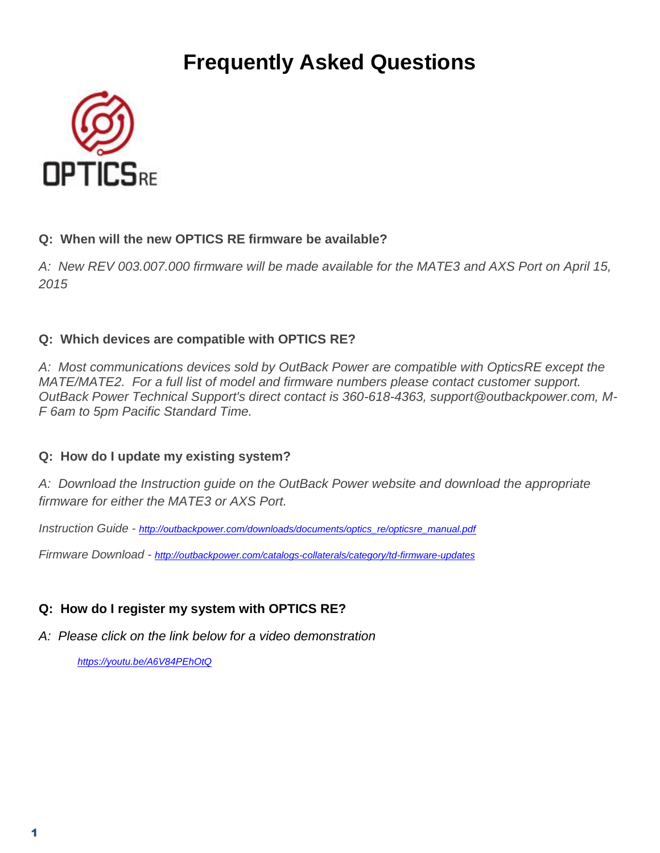# **Frequently Asked Questions**



#### **Q: When will the new OPTICS RE firmware be available?**

*A: New REV 003.007.000 firmware will be made available for the MATE3 and AXS Port on April 15, 2015*

# **Q: Which devices are compatible with OPTICS RE?**

*A: Most communications devices sold by OutBack Power are compatible with OpticsRE except the MATE/MATE2. For a full list of model and firmware numbers please contact customer support. OutBack Power Technical Support's direct contact is 360-618-4363, support@outbackpower.com, M-F 6am to 5pm Pacific Standard Time.* 

# **Q: How do I update my existing system?**

*A: Download the Instruction guide on the OutBack Power website and download the appropriate firmware for either the MATE3 or AXS Port.* 

*Instruction Guide - [http://outbackpower.com/downloads/documents/optics\\_re/opticsre\\_manual.pdf](http://outbackpower.com/downloads/documents/optics_re/opticsre_manual.pdf)*

*Firmware Download - <http://outbackpower.com/catalogs-collaterals/category/td-firmware-updates>*

# **Q: How do I register my system with OPTICS RE?**

*A: Please click on the link below for a video demonstration*

*<https://youtu.be/A6V84PEhOtQ>*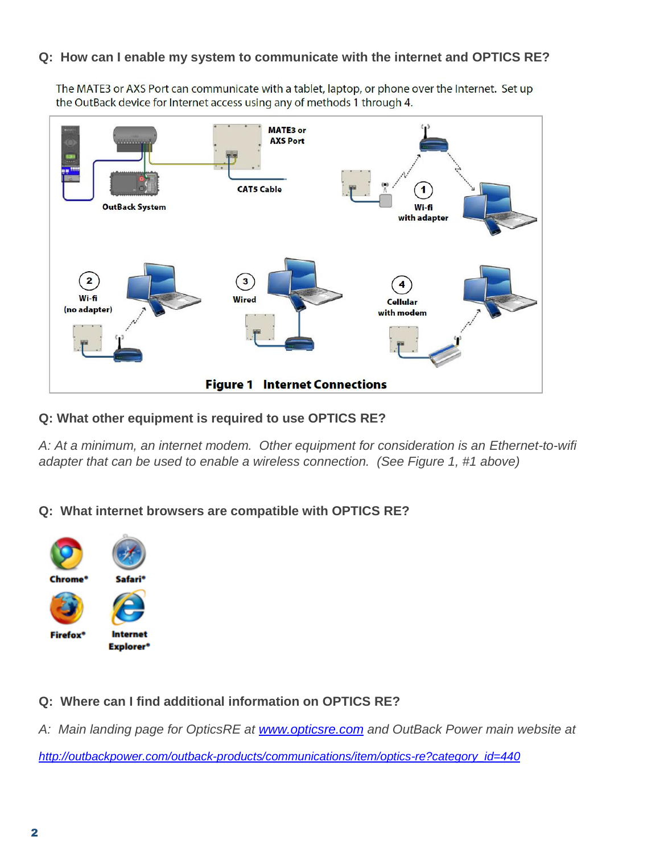#### **Q: How can I enable my system to communicate with the internet and OPTICS RE?**

The MATE3 or AXS Port can communicate with a tablet, laptop, or phone over the Internet. Set up the OutBack device for Internet access using any of methods 1 through 4.



#### **Q: What other equipment is required to use OPTICS RE?**

*A: At a minimum, an internet modem. Other equipment for consideration is an Ethernet-to-wifi adapter that can be used to enable a wireless connection. (See Figure 1, #1 above)*

#### **Q: What internet browsers are compatible with OPTICS RE?**



#### **Q: Where can I find additional information on OPTICS RE?**

*A: Main landing page for OpticsRE at [www.opticsre.com](http://www.opticsre.com/) and OutBack Power main website at* 

*[http://outbackpower.com/outback-products/communications/item/optics-re?category\\_id=440](http://outbackpower.com/outback-products/communications/item/optics-re?category_id=440)*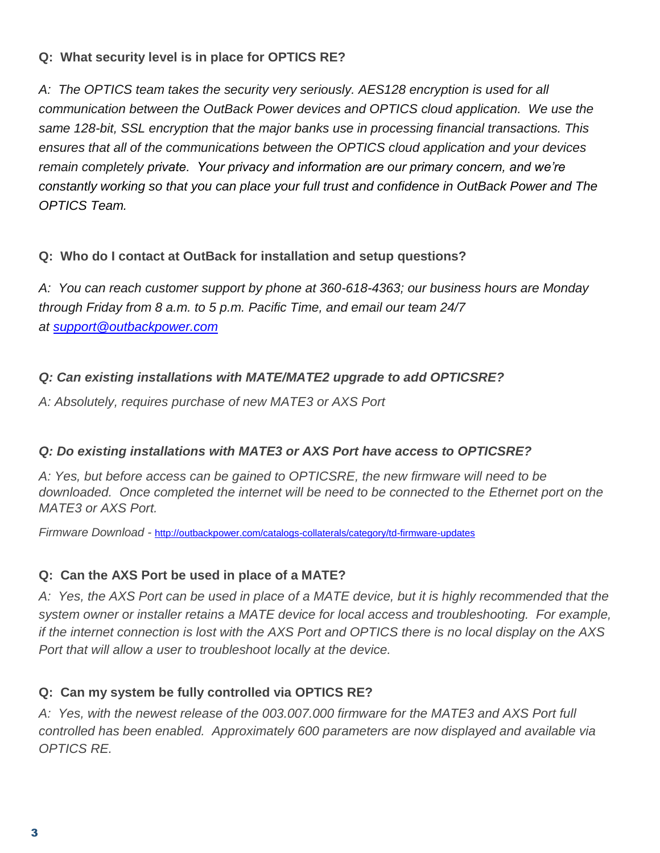## **Q: What security level is in place for OPTICS RE?**

A: The OPTICS team takes the security very seriously. AES128 encryption is used for all *communication between the OutBack Power devices and OPTICS cloud application. We use the same 128-bit, SSL encryption that the major banks use in processing financial transactions. This ensures that all of the communications between the OPTICS cloud application and your devices remain completely private. Your privacy and information are our primary concern, and we're constantly working so that you can place your full trust and confidence in OutBack Power and The OPTICS Team.*

### **Q: Who do I contact at OutBack for installation and setup questions?**

*A: You can reach customer support by phone at 360-618-4363; our business hours are Monday through Friday from 8 a.m. to 5 p.m. Pacific Time, and email our team 24/7 at [support@outbackpower.com](mailto:support@outbackpower.com)*

# *Q: Can existing installations with MATE/MATE2 upgrade to add OPTICSRE?*

*A: Absolutely, requires purchase of new MATE3 or AXS Port*

# *Q: Do existing installations with MATE3 or AXS Port have access to OPTICSRE?*

*A: Yes, but before access can be gained to OPTICSRE, the new firmware will need to be downloaded. Once completed the internet will be need to be connected to the Ethernet port on the MATE3 or AXS Port.*

*Firmware Download -* <http://outbackpower.com/catalogs-collaterals/category/td-firmware-updates>

#### **Q: Can the AXS Port be used in place of a MATE?**

*A: Yes, the AXS Port can be used in place of a MATE device, but it is highly recommended that the system owner or installer retains a MATE device for local access and troubleshooting. For example, if the internet connection is lost with the AXS Port and OPTICS there is no local display on the AXS Port that will allow a user to troubleshoot locally at the device.*

# **Q: Can my system be fully controlled via OPTICS RE?**

*A: Yes, with the newest release of the 003.007.000 firmware for the MATE3 and AXS Port full controlled has been enabled. Approximately 600 parameters are now displayed and available via OPTICS RE.*